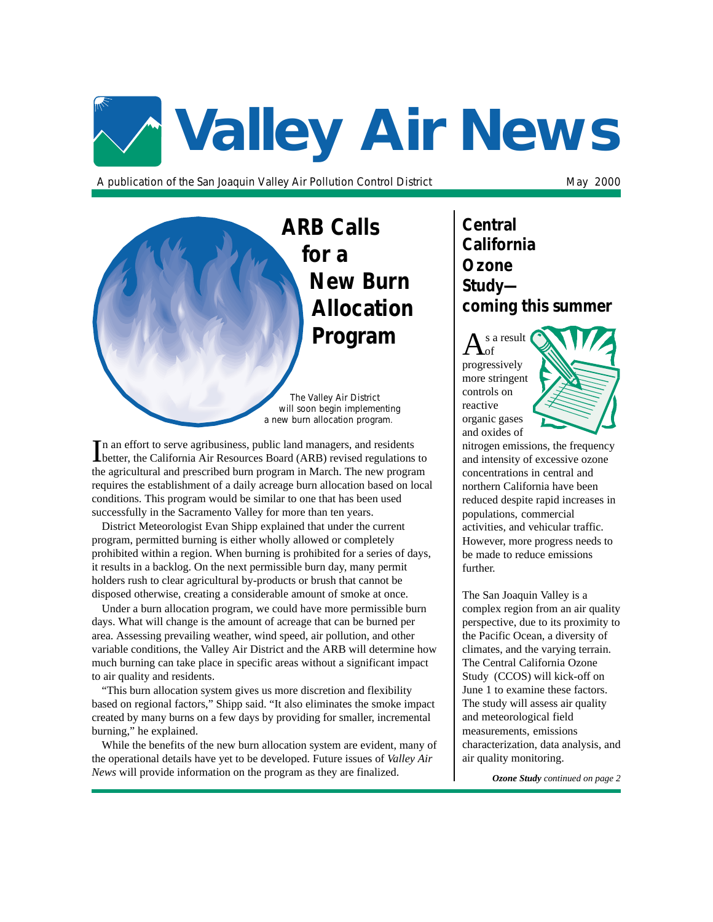# **Valley Air News**

A publication of the San Joaquin Valley Air Pollution Control District May 2000

**ARB Calls for a New Burn Allocation Program**

*The Valley Air District will soon begin implementing a new burn allocation program.*

In an effort to serve agribusiness, public land managers, and residents<br>better, the California Air Resources Board (ARB) revised regulations to n an effort to serve agribusiness, public land managers, and residents the agricultural and prescribed burn program in March. The new program requires the establishment of a daily acreage burn allocation based on local conditions. This program would be similar to one that has been used successfully in the Sacramento Valley for more than ten years.

District Meteorologist Evan Shipp explained that under the current program, permitted burning is either wholly allowed or completely prohibited within a region. When burning is prohibited for a series of days, it results in a backlog. On the next permissible burn day, many permit holders rush to clear agricultural by-products or brush that cannot be disposed otherwise, creating a considerable amount of smoke at once.

Under a burn allocation program, we could have more permissible burn days. What will change is the amount of acreage that can be burned per area. Assessing prevailing weather, wind speed, air pollution, and other variable conditions, the Valley Air District and the ARB will determine how much burning can take place in specific areas without a significant impact to air quality and residents.

"This burn allocation system gives us more discretion and flexibility based on regional factors," Shipp said. "It also eliminates the smoke impact created by many burns on a few days by providing for smaller, incremental burning," he explained.

While the benefits of the new burn allocation system are evident, many of the operational details have yet to be developed. Future issues of *Valley Air News* will provide information on the program as they are finalized.

**Central California Ozone Study coming this summer**

s a result of progressively more stringent controls on reactive organic gases and oxides of



nitrogen emissions, the frequency and intensity of excessive ozone concentrations in central and northern California have been reduced despite rapid increases in populations, commercial activities, and vehicular traffic. However, more progress needs to be made to reduce emissions further.

The San Joaquin Valley is a complex region from an air quality perspective, due to its proximity to the Pacific Ocean, a diversity of climates, and the varying terrain. The Central California Ozone Study (CCOS) will kick-off on June 1 to examine these factors. The study will assess air quality and meteorological field measurements, emissions characterization, data analysis, and air quality monitoring.

*Ozone Study continued on page 2*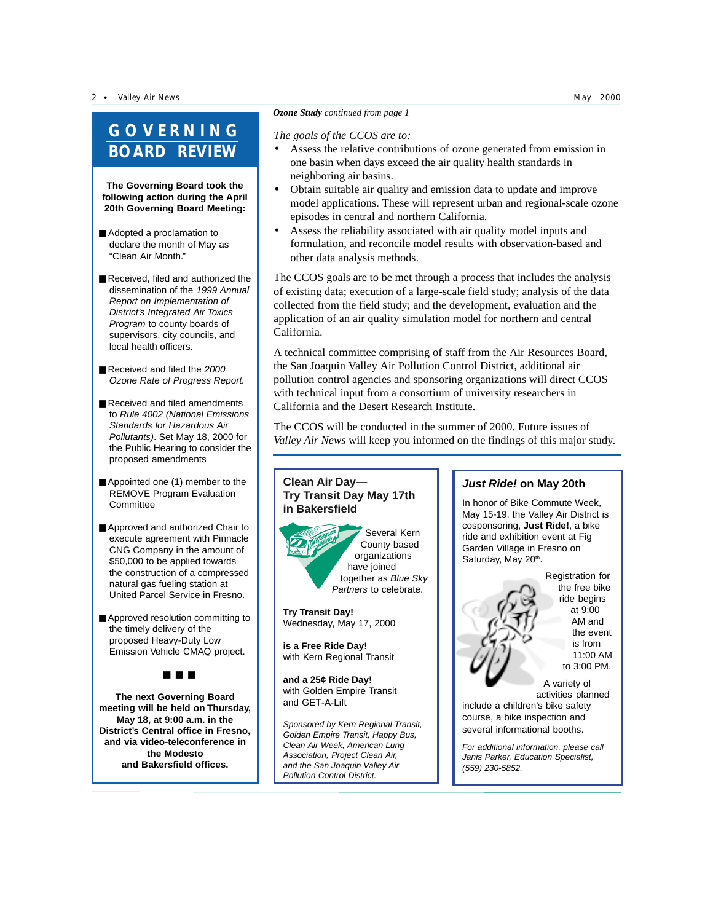2 · Valley Air News May 2000 May 2000 May 2000 May 2000 May 2000 May 2000 May 2000

# **GOVERNING BOARD REVIEW**

**The Governing Board took the following action during the April 20th Governing Board Meeting:**

- Adopted a proclamation to declare the month of May as "Clean Air Month."
- Received, filed and authorized the dissemination of the 1999 Annual Report on Implementation of District's Integrated Air Toxics Program to county boards of supervisors, city councils, and local health officers.
- Received and filed the 2000 Ozone Rate of Progress Report.
- Received and filed amendments to Rule 4002 (National Emissions Standards for Hazardous Air Pollutants). Set May 18, 2000 for the Public Hearing to consider the proposed amendments
- Appointed one (1) member to the REMOVE Program Evaluation **Committee**
- Approved and authorized Chair to execute agreement with Pinnacle CNG Company in the amount of \$50,000 to be applied towards the construction of a compressed natural gas fueling station at United Parcel Service in Fresno.
- Approved resolution committing to the timely delivery of the proposed Heavy-Duty Low Emission Vehicle CMAQ project.

■ ■ ■

**The next Governing Board meeting will be held on Thursday, May 18, at 9:00 a.m. in the District's Central office in Fresno, and via video-teleconference in the Modesto and Bakersfield offices.**

### *Ozone Study continued from page 1*

#### *The goals of the CCOS are to:*

- Assess the relative contributions of ozone generated from emission in one basin when days exceed the air quality health standards in neighboring air basins.
- Obtain suitable air quality and emission data to update and improve model applications. These will represent urban and regional-scale ozone episodes in central and northern California.
- Assess the reliability associated with air quality model inputs and formulation, and reconcile model results with observation-based and other data analysis methods.

The CCOS goals are to be met through a process that includes the analysis of existing data; execution of a large-scale field study; analysis of the data collected from the field study; and the development, evaluation and the application of an air quality simulation model for northern and central California.

A technical committee comprising of staff from the Air Resources Board, the San Joaquin Valley Air Pollution Control District, additional air pollution control agencies and sponsoring organizations will direct CCOS with technical input from a consortium of university researchers in California and the Desert Research Institute.

The CCOS will be conducted in the summer of 2000. Future issues of *Valley Air News* will keep you informed on the findings of this major study.